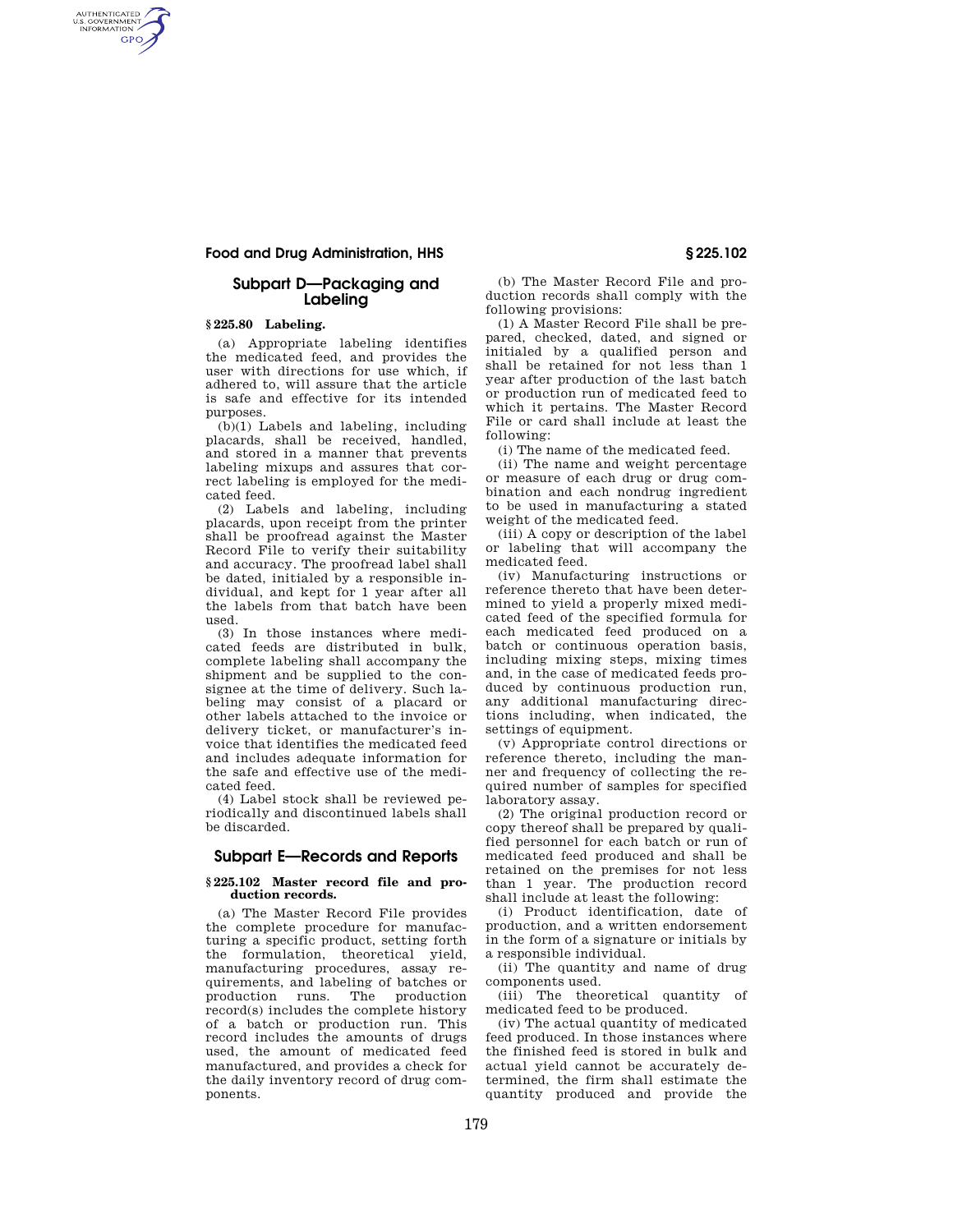### **Food and Drug Administration, HHS § 225.102**

# **Subpart D—Packaging and Labeling**

### **§ 225.80 Labeling.**

AUTHENTICATED<br>U.S. GOVERNMENT<br>INFORMATION **GPO** 

> (a) Appropriate labeling identifies the medicated feed, and provides the user with directions for use which, if adhered to, will assure that the article is safe and effective for its intended purposes.

> (b)(1) Labels and labeling, including placards, shall be received, handled, and stored in a manner that prevents labeling mixups and assures that correct labeling is employed for the medicated feed.

> (2) Labels and labeling, including placards, upon receipt from the printer shall be proofread against the Master Record File to verify their suitability and accuracy. The proofread label shall be dated, initialed by a responsible individual, and kept for 1 year after all the labels from that batch have been used.

> (3) In those instances where medicated feeds are distributed in bulk, complete labeling shall accompany the shipment and be supplied to the consignee at the time of delivery. Such labeling may consist of a placard or other labels attached to the invoice or delivery ticket, or manufacturer's invoice that identifies the medicated feed and includes adequate information for the safe and effective use of the medicated feed.

(4) Label stock shall be reviewed periodically and discontinued labels shall be discarded.

### **Subpart E—Records and Reports**

#### **§ 225.102 Master record file and production records.**

(a) The Master Record File provides the complete procedure for manufacturing a specific product, setting forth the formulation, theoretical yield, manufacturing procedures, assay requirements, and labeling of batches or production runs. The production record(s) includes the complete history of a batch or production run. This record includes the amounts of drugs used, the amount of medicated feed manufactured, and provides a check for the daily inventory record of drug components.

(b) The Master Record File and production records shall comply with the following provisions:

(1) A Master Record File shall be prepared, checked, dated, and signed or initialed by a qualified person and shall be retained for not less than 1 year after production of the last batch or production run of medicated feed to which it pertains. The Master Record File or card shall include at least the following:

(i) The name of the medicated feed.

(ii) The name and weight percentage or measure of each drug or drug combination and each nondrug ingredient to be used in manufacturing a stated weight of the medicated feed.

(iii) A copy or description of the label or labeling that will accompany the medicated feed.

(iv) Manufacturing instructions or reference thereto that have been determined to yield a properly mixed medicated feed of the specified formula for each medicated feed produced on a batch or continuous operation basis, including mixing steps, mixing times and, in the case of medicated feeds produced by continuous production run, any additional manufacturing directions including, when indicated, the settings of equipment.

(v) Appropriate control directions or reference thereto, including the manner and frequency of collecting the required number of samples for specified laboratory assay.

(2) The original production record or copy thereof shall be prepared by qualified personnel for each batch or run of medicated feed produced and shall be retained on the premises for not less than 1 year. The production record shall include at least the following:

(i) Product identification, date production, and a written endorsement in the form of a signature or initials by a responsible individual.

(ii) The quantity and name of drug components used.

(iii) The theoretical quantity of medicated feed to be produced.

(iv) The actual quantity of medicated feed produced. In those instances where the finished feed is stored in bulk and actual yield cannot be accurately determined, the firm shall estimate the quantity produced and provide the